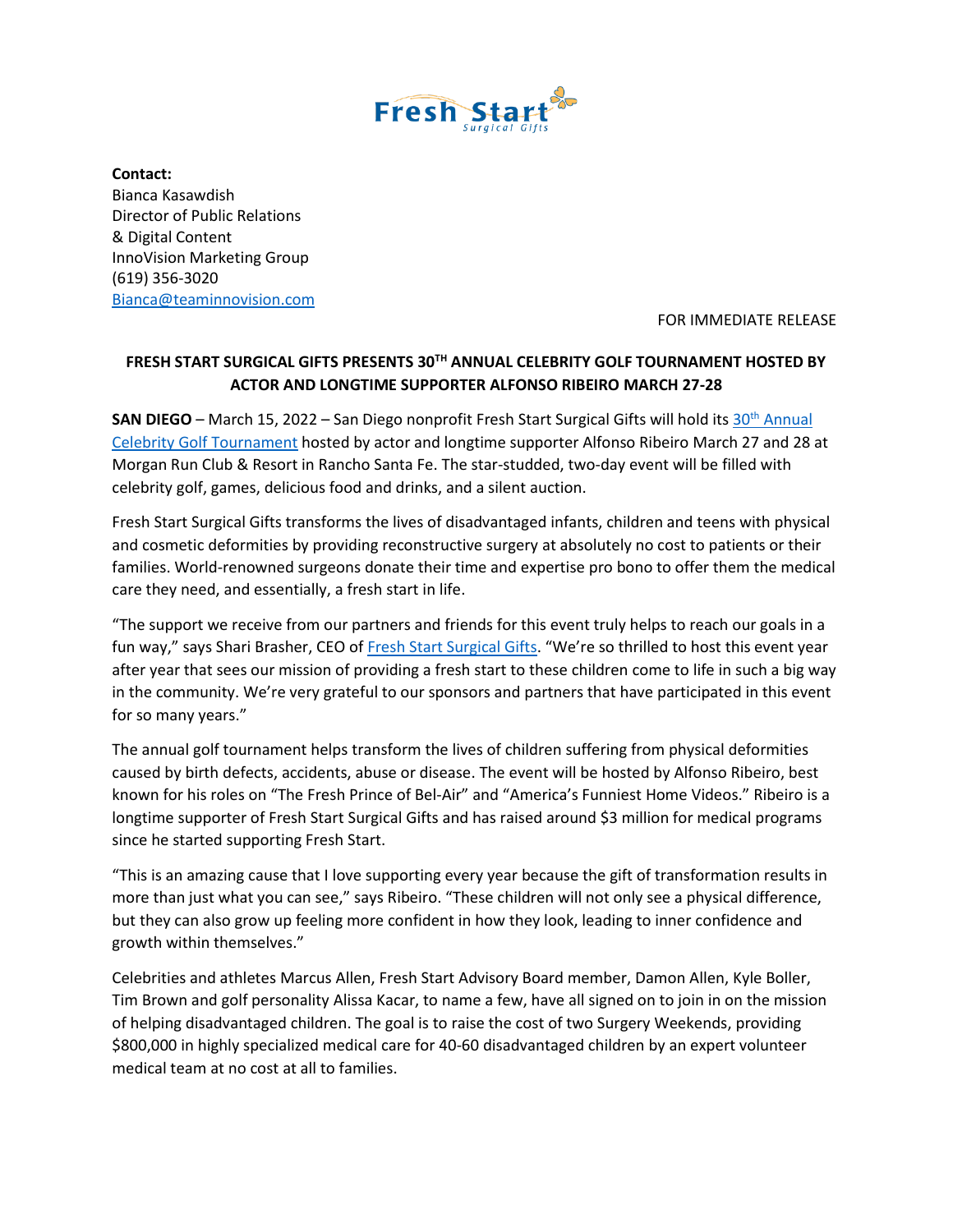

**Contact:**  Bianca Kasawdish Director of Public Relations & Digital Content InnoVision Marketing Group (619) 356-3020 [Bianca@teaminnovision.com](mailto:Bianca@teaminnovision.com)

FOR IMMEDIATE RELEASE

## **FRESH START SURGICAL GIFTS PRESENTS 30TH ANNUAL CELEBRITY GOLF TOURNAMENT HOSTED BY ACTOR AND LONGTIME SUPPORTER ALFONSO RIBEIRO MARCH 27-28**

**SAN DIEGO** – March 15, 2022 – San Diego nonprofit Fresh Start Surgical Gifts will hold its 30<sup>th</sup> Annual [Celebrity Golf Tournament](https://freshstartsg.ejoinme.org/MyEvents/30thAnnual2022CelebrityGolfTournament/tabid/1276282/Default.aspx) hosted by actor and longtime supporter Alfonso Ribeiro March 27 and 28 at Morgan Run Club & Resort in Rancho Santa Fe. The star-studded, two-day event will be filled with celebrity golf, games, delicious food and drinks, and a silent auction.

Fresh Start Surgical Gifts transforms the lives of disadvantaged infants, children and teens with physical and cosmetic deformities by providing reconstructive surgery at absolutely no cost to patients or their families. World-renowned surgeons donate their time and expertise pro bono to offer them the medical care they need, and essentially, a fresh start in life.

"The support we receive from our partners and friends for this event truly helps to reach our goals in a fun way," says Shari Brasher, CEO of [Fresh Start Surgical Gifts](http://www.freshstart.org/). "We're so thrilled to host this event year after year that sees our mission of providing a fresh start to these children come to life in such a big way in the community. We're very grateful to our sponsors and partners that have participated in this event for so many years."

The annual golf tournament helps transform the lives of children suffering from physical deformities caused by birth defects, accidents, abuse or disease. The event will be hosted by Alfonso Ribeiro, best known for his roles on "The Fresh Prince of Bel-Air" and "America's Funniest Home Videos." Ribeiro is a longtime supporter of Fresh Start Surgical Gifts and has raised around \$3 million for medical programs since he started supporting Fresh Start.

"This is an amazing cause that I love supporting every year because the gift of transformation results in more than just what you can see," says Ribeiro. "These children will not only see a physical difference, but they can also grow up feeling more confident in how they look, leading to inner confidence and growth within themselves."

Celebrities and athletes Marcus Allen, Fresh Start Advisory Board member, Damon Allen, Kyle Boller, Tim Brown and golf personality Alissa Kacar, to name a few, have all signed on to join in on the mission of helping disadvantaged children. The goal is to raise the cost of two Surgery Weekends, providing \$800,000 in highly specialized medical care for 40-60 disadvantaged children by an expert volunteer medical team at no cost at all to families.